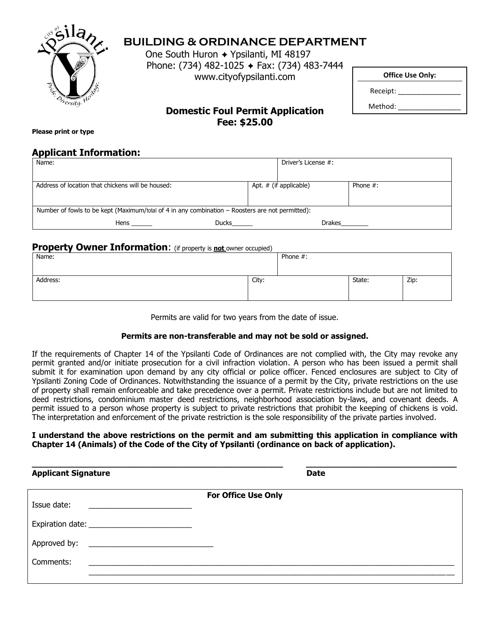

# **BUILDING & ORDINANCE DEPARTMENT**

One South Huron → Ypsilanti, MI 48197 Phone: (734) 482-1025 + Fax: (734) 483-7444 www.cityofypsilanti.com

Method:

Receipt: \_\_\_\_\_\_\_\_\_\_\_\_\_\_\_\_

# **Domestic Foul Permit Application Fee: \$25.00**

**Please print or type**

### **Applicant Information:**

| Name:                                                                                            |       | Driver's License #:    |             |  |  |
|--------------------------------------------------------------------------------------------------|-------|------------------------|-------------|--|--|
|                                                                                                  |       |                        |             |  |  |
| Address of location that chickens will be housed:                                                |       | Apt. # (if applicable) | Phone $#$ : |  |  |
|                                                                                                  |       |                        |             |  |  |
| Number of fowls to be kept (Maximum/total of 4 in any combination - Roosters are not permitted): |       |                        |             |  |  |
| Hens                                                                                             | Ducks | Drakes                 |             |  |  |

# **Property Owner Information:** (if property is not owner occupied)

| Name:    |       | Phone #: |        |      |
|----------|-------|----------|--------|------|
| Address: | City: |          | State: | Zip: |

Permits are valid for two years from the date of issue.

### **Permits are non-transferable and may not be sold or assigned.**

If the requirements of Chapter 14 of the Ypsilanti Code of Ordinances are not complied with, the City may revoke any permit granted and/or initiate prosecution for a civil infraction violation. A person who has been issued a permit shall submit it for examination upon demand by any city official or police officer. Fenced enclosures are subject to City of Ypsilanti Zoning Code of Ordinances. Notwithstanding the issuance of a permit by the City, private restrictions on the use of property shall remain enforceable and take precedence over a permit. Private restrictions include but are not limited to deed restrictions, condominium master deed restrictions, neighborhood association by-laws, and covenant deeds. A permit issued to a person whose property is subject to private restrictions that prohibit the keeping of chickens is void. The interpretation and enforcement of the private restriction is the sole responsibility of the private parties involved.

#### **I understand the above restrictions on the permit and am submitting this application in compliance with Chapter 14 (Animals) of the Code of the City of Ypsilanti (ordinance on back of application).**

| <b>Applicant Signature</b> |                            | <b>Date</b> |
|----------------------------|----------------------------|-------------|
| Issue date:                | <b>For Office Use Only</b> |             |
|                            |                            |             |
| Approved by:               |                            |             |
| Comments:                  |                            |             |
|                            |                            |             |